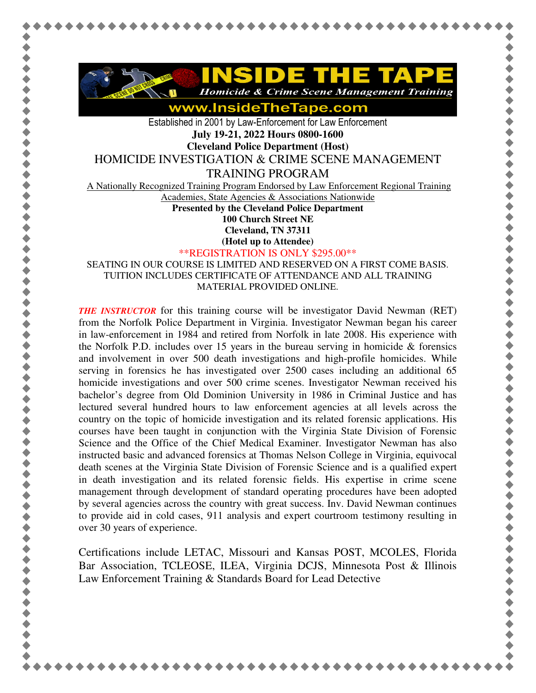

**Homicide & Crime Scene Management Training** 

www.InsideTheTape.com

Established in 2001 by Law-Enforcement for Law Enforcement **July 19-21, 2022 Hours 0800-1600** 

**Cleveland Police Department (Host)** 

HOMICIDE INVESTIGATION & CRIME SCENE MANAGEMENT

TRAINING PROGRAM

A Nationally Recognized Training Program Endorsed by Law Enforcement Regional Training

Academies, State Agencies & Associations Nationwide

**Presented by the Cleveland Police Department 100 Church Street NE** 

**Cleveland, TN 37311** 

**(Hotel up to Attendee)**

\*\*REGISTRATION IS ONLY \$295.00\*\*

SEATING IN OUR COURSE IS LIMITED AND RESERVED ON A FIRST COME BASIS. TUITION INCLUDES CERTIFICATE OF ATTENDANCE AND ALL TRAINING MATERIAL PROVIDED ONLINE.

*THE INSTRUCTOR* for this training course will be investigator David Newman (RET) from the Norfolk Police Department in Virginia. Investigator Newman began his career in law-enforcement in 1984 and retired from Norfolk in late 2008. His experience with the Norfolk P.D. includes over 15 years in the bureau serving in homicide  $\&$  forensics and involvement in over 500 death investigations and high-profile homicides. While serving in forensics he has investigated over 2500 cases including an additional 65 homicide investigations and over 500 crime scenes. Investigator Newman received his bachelor's degree from Old Dominion University in 1986 in Criminal Justice and has lectured several hundred hours to law enforcement agencies at all levels across the country on the topic of homicide investigation and its related forensic applications. His courses have been taught in conjunction with the Virginia State Division of Forensic Science and the Office of the Chief Medical Examiner. Investigator Newman has also instructed basic and advanced forensics at Thomas Nelson College in Virginia, equivocal death scenes at the Virginia State Division of Forensic Science and is a qualified expert in death investigation and its related forensic fields. His expertise in crime scene management through development of standard operating procedures have been adopted by several agencies across the country with great success. Inv. David Newman continues to provide aid in cold cases, 911 analysis and expert courtroom testimony resulting in over 30 years of experience.

Certifications include LETAC, Missouri and Kansas POST, MCOLES, Florida Bar Association, TCLEOSE, ILEA, Virginia DCJS, Minnesota Post & Illinois Law Enforcement Training & Standards Board for Lead Detective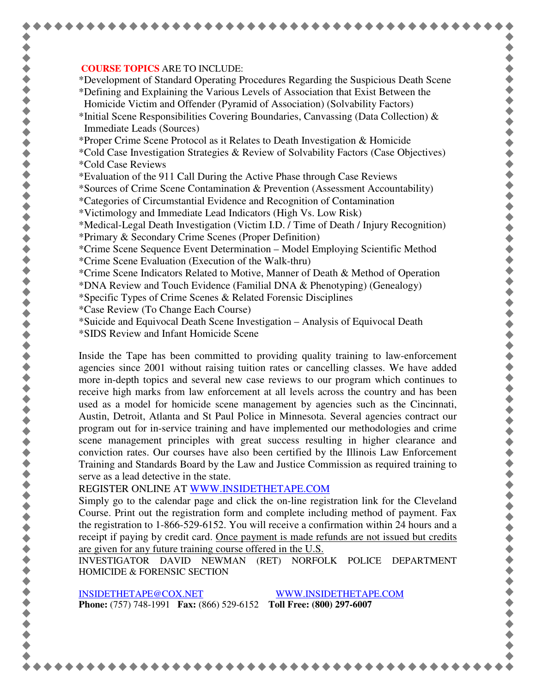## **COURSE TOPICS** ARE TO INCLUDE:

\*Development of Standard Operating Procedures Regarding the Suspicious Death Scene \*Defining and Explaining the Various Levels of Association that Exist Between the Homicide Victim and Offender (Pyramid of Association) (Solvability Factors)

\*Initial Scene Responsibilities Covering Boundaries, Canvassing (Data Collection)  $\&$ Immediate Leads (Sources)

\*Proper Crime Scene Protocol as it Relates to Death Investigation & Homicide

- \*Cold Case Investigation Strategies & Review of Solvability Factors (Case Objectives) \*Cold Case Reviews
- \*Evaluation of the 911 Call During the Active Phase through Case Reviews

\*Sources of Crime Scene Contamination & Prevention (Assessment Accountability)

- \*Categories of Circumstantial Evidence and Recognition of Contamination
- \*Victimology and Immediate Lead Indicators (High Vs. Low Risk)

\*Medical-Legal Death Investigation (Victim I.D. / Time of Death / Injury Recognition)

- \*Primary & Secondary Crime Scenes (Proper Definition)
- \*Crime Scene Sequence Event Determination Model Employing Scientific Method \*Crime Scene Evaluation (Execution of the Walk-thru)
- \*Crime Scene Indicators Related to Motive, Manner of Death & Method of Operation

\*DNA Review and Touch Evidence (Familial DNA & Phenotyping) (Genealogy)

- \*Specific Types of Crime Scenes & Related Forensic Disciplines
- \*Case Review (To Change Each Course)
- \*Suicide and Equivocal Death Scene Investigation Analysis of Equivocal Death
- \*SIDS Review and Infant Homicide Scene

Inside the Tape has been committed to providing quality training to law-enforcement agencies since 2001 without raising tuition rates or cancelling classes. We have added more in-depth topics and several new case reviews to our program which continues to receive high marks from law enforcement at all levels across the country and has been used as a model for homicide scene management by agencies such as the Cincinnati, Austin, Detroit, Atlanta and St Paul Police in Minnesota. Several agencies contract our program out for in-service training and have implemented our methodologies and crime scene management principles with great success resulting in higher clearance and conviction rates. Our courses have also been certified by the Illinois Law Enforcement Training and Standards Board by the Law and Justice Commission as required training to serve as a lead detective in the state.

REGISTER ONLINE AT WWW.INSIDETHETAPE.COM

Simply go to the calendar page and click the on-line registration link for the Cleveland Course. Print out the registration form and complete including method of payment. Fax the registration to 1-866-529-6152. You will receive a confirmation within 24 hours and a receipt if paying by credit card. Once payment is made refunds are not issued but credits are given for any future training course offered in the U.S.

INVESTIGATOR DAVID NEWMAN (RET) NORFOLK POLICE DEPARTMENT HOMICIDE & FORENSIC SECTION

INSIDETHETAPE@COX.NET WWW.INSIDETHETAPE.COM **Phone:** (757) 748-1991 **Fax:** (866) 529-6152 **Toll Free: (800) 297-6007**